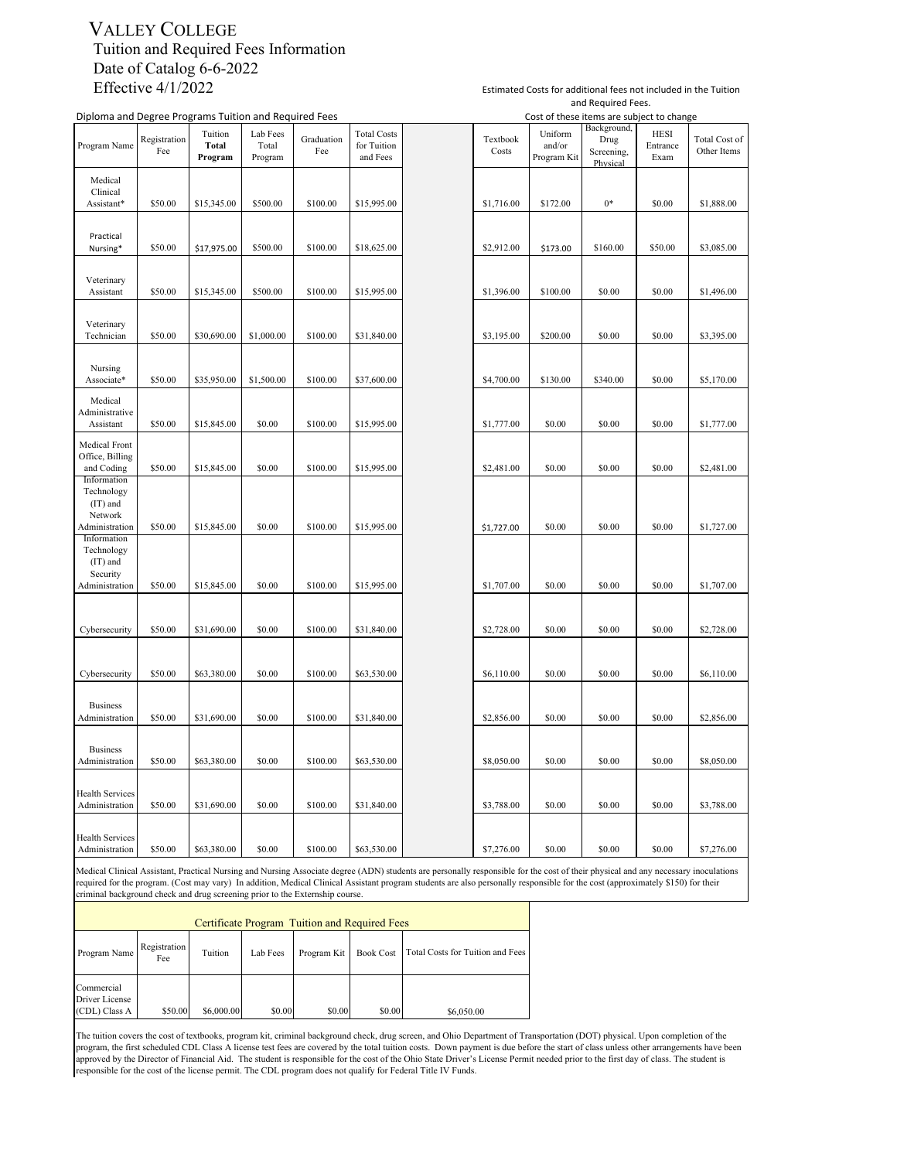#### VALLEY COLLEGE Tuition and Required Fees Information Date of Catalog 6-6-2022 Effective 4/1/2022

|                                                                    | Diploma and Degree Programs Tuition and Required Fees |                             |                              |                   |                                               |  | Cost of these items are subject to change |                                  |                                               |                                 |                              |
|--------------------------------------------------------------------|-------------------------------------------------------|-----------------------------|------------------------------|-------------------|-----------------------------------------------|--|-------------------------------------------|----------------------------------|-----------------------------------------------|---------------------------------|------------------------------|
| Program Name                                                       | Registration<br>Fee                                   | Tuition<br>Total<br>Program | Lab Fees<br>Total<br>Program | Graduation<br>Fee | <b>Total Costs</b><br>for Tuition<br>and Fees |  | Textbook<br>Costs                         | Uniform<br>and/or<br>Program Kit | Background,<br>Drug<br>Screening,<br>Physical | <b>HESI</b><br>Entrance<br>Exam | Total Cost of<br>Other Items |
| Medical<br>Clinical<br>Assistant*                                  | \$50.00                                               | \$15,345.00                 | \$500.00                     | \$100.00          | \$15,995.00                                   |  | \$1,716.00                                | \$172.00                         | $0*$                                          | \$0.00                          | \$1,888.00                   |
| Practical<br>Nursing*                                              | \$50.00                                               | \$17,975.00                 | \$500.00                     | \$100.00          | \$18,625.00                                   |  | \$2,912.00                                | \$173.00                         | \$160.00                                      | \$50.00                         | \$3,085.00                   |
| Veterinary<br>Assistant                                            | \$50.00                                               | \$15,345.00                 | \$500.00                     | \$100.00          | \$15,995.00                                   |  | \$1,396.00                                | \$100.00                         | \$0.00                                        | \$0.00                          | \$1,496.00                   |
| Veterinary<br>Technician                                           | \$50.00                                               | \$30,690.00                 | \$1,000.00                   | \$100.00          | \$31,840.00                                   |  | \$3,195.00                                | \$200.00                         | \$0.00                                        | \$0.00                          | \$3,395.00                   |
| Nursing<br>Associate*                                              | \$50.00                                               | \$35,950.00                 | \$1,500.00                   | \$100.00          | \$37,600.00                                   |  | \$4,700.00                                | \$130.00                         | \$340.00                                      | \$0.00                          | \$5,170.00                   |
| Medical<br>Administrative<br>Assistant                             | \$50.00                                               | \$15,845.00                 | \$0.00                       | \$100.00          | \$15,995.00                                   |  | \$1,777.00                                | \$0.00                           | \$0.00                                        | \$0.00                          | \$1,777.00                   |
| Medical Front<br>Office, Billing<br>and Coding                     | \$50.00                                               | \$15,845.00                 | \$0.00                       | \$100.00          | \$15,995.00                                   |  | \$2,481.00                                | \$0.00                           | \$0.00                                        | \$0.00                          | \$2,481.00                   |
| Information<br>Technology<br>(IT) and<br>Network<br>Administration | \$50.00                                               | \$15,845.00                 | \$0.00                       | \$100.00          | \$15,995.00                                   |  | \$1,727.00                                | \$0.00                           | \$0.00                                        | \$0.00                          | \$1,727.00                   |
| Information<br>Technology<br>(IT) and<br>Security                  |                                                       |                             |                              |                   |                                               |  |                                           |                                  |                                               |                                 |                              |
| Administration                                                     | \$50.00                                               | \$15,845.00                 | \$0.00                       | \$100.00          | \$15,995.00                                   |  | \$1,707.00                                | \$0.00                           | \$0.00                                        | \$0.00                          | \$1,707.00                   |
| Cybersecurity                                                      | \$50.00                                               | \$31,690.00                 | \$0.00                       | \$100.00          | \$31,840.00                                   |  | \$2,728.00                                | \$0.00                           | \$0.00                                        | \$0.00                          | \$2,728.00                   |
| Cybersecurity                                                      | \$50.00                                               | \$63,380.00                 | \$0.00                       | \$100.00          | \$63,530.00                                   |  | \$6,110.00                                | \$0.00                           | \$0.00                                        | \$0.00                          | \$6,110.00                   |
| <b>Business</b><br>Administration                                  | \$50.00                                               | \$31,690.00                 | \$0.00                       | \$100.00          | \$31,840.00                                   |  | \$2,856.00                                | \$0.00                           | \$0.00                                        | \$0.00                          | \$2,856.00                   |
| <b>Business</b><br>Administration                                  | \$50.00                                               | \$63,380.00                 | \$0.00                       | \$100.00          | \$63,530.00                                   |  | \$8,050.00                                | \$0.00                           | \$0.00                                        | \$0.00                          | \$8,050.00                   |
| <b>Health Services</b><br>Administration                           | \$50.00                                               | \$31,690.00                 | \$0.00                       | \$100.00          | \$31,840.00                                   |  | \$3,788.00                                | \$0.00                           | \$0.00                                        | \$0.00                          | \$3,788.00                   |
| <b>Health Services</b><br>Administration                           | \$50.00                                               | \$63,380.00                 | \$0.00                       | \$100.00          | \$63,530.00                                   |  | \$7,276.00                                | \$0.00                           | \$0.00                                        | \$0.00                          | \$7,276.00                   |

Estimated Costs for additional fees not included in the Tuition and Required Fees. Cost of these items are subject to change

Medical Clinical Assistant, Practical Nursing and Nursing Associate degree (ADN) students are personally responsible for the cost of their physical and any necessary inoculations required for the program. (Cost may vary) I

| Certificate Program Tuition and Required Fees |                     |            |          |             |                  |                                  |  |  |  |  |
|-----------------------------------------------|---------------------|------------|----------|-------------|------------------|----------------------------------|--|--|--|--|
| Program Name                                  | Registration<br>Fee | Tuition    | Lab Fees | Program Kit | <b>Book Cost</b> | Total Costs for Tuition and Fees |  |  |  |  |
| Commercial<br>Driver License<br>(CDL) Class A | \$50.00             | \$6,000.00 | \$0.00   | \$0.00      | \$0.00           | \$6,050.00                       |  |  |  |  |

The tuition covers the cost of textbooks, program kit, criminal background check, drug screen, and Ohio Department of Transportation (DOT) physical. Upon completion of the program, the first scheduled CDL Class A license test fees are covered by the total tuition costs. Down payment is due before the start of class unless other arrangements have been approved by the Director of Financial Aid. The student is responsible for the cost of the Ohio State Driver's License Permit needed prior to the first day of class. The student is responsible for the cost of the license permit. The CDL program does not qualify for Federal Title IV Funds.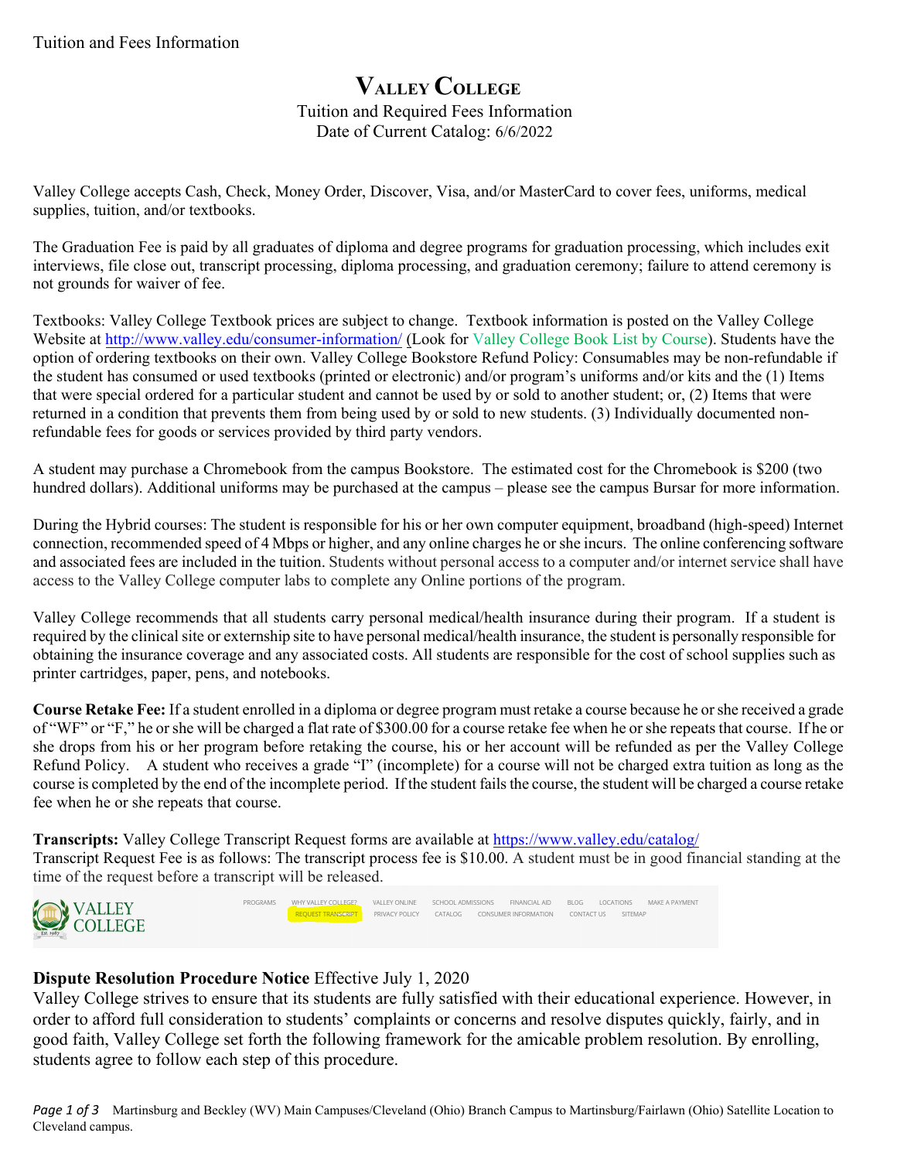# **VALLEY COLLEGE** Tuition and Required Fees Information Date of Current Catalog: 6/6/2022

Valley College accepts Cash, Check, Money Order, Discover, Visa, and/or MasterCard to cover fees, uniforms, medical supplies, tuition, and/or textbooks.

The Graduation Fee is paid by all graduates of diploma and degree programs for graduation processing, which includes exit interviews, file close out, transcript processing, diploma processing, and graduation ceremony; failure to attend ceremony is not grounds for waiver of fee.

Textbooks: Valley College Textbook prices are subject to change. Textbook information is posted on the Valley College Website at <http://www.valley.edu/consumer-information/> (Look for Valley College Book List by Course). Students have the option of ordering textbooks on their own. Valley College Bookstore Refund Policy: Consumables may be non-refundable if the student has consumed or used textbooks (printed or electronic) and/or program's uniforms and/or kits and the (1) Items that were special ordered for a particular student and cannot be used by or sold to another student; or, (2) Items that were returned in a condition that prevents them from being used by or sold to new students. (3) Individually documented nonrefundable fees for goods or services provided by third party vendors.

A student may purchase a Chromebook from the campus Bookstore. The estimated cost for the Chromebook is \$200 (two hundred dollars). Additional uniforms may be purchased at the campus – please see the campus Bursar for more information.

During the Hybrid courses: The student is responsible for his or her own computer equipment, broadband (high-speed) Internet connection, recommended speed of 4 Mbps or higher, and any online charges he or she incurs. The online conferencing software and associated fees are included in the tuition. Students without personal access to a computer and/or internet service shall have access to the Valley College computer labs to complete any Online portions of the program.

Valley College recommends that all students carry personal medical/health insurance during their program. If a student is required by the clinical site or externship site to have personal medical/health insurance, the student is personally responsible for obtaining the insurance coverage and any associated costs. All students are responsible for the cost of school supplies such as printer cartridges, paper, pens, and notebooks.

**Course Retake Fee:** If a student enrolled in a diploma or degree program must retake a course because he orshe received a grade of "WF" or "F," he or she will be charged a flat rate of \$300.00 for a course retake fee when he or she repeats that course. If he or she drops from his or her program before retaking the course, his or her account will be refunded as per the Valley College Refund Policy. A student who receives a grade "I" (incomplete) for a course will not be charged extra tuition as long as the course is completed by the end of the incomplete period. If the student fails the course, the student will be charged a course retake fee when he or she repeats that course.

**Transcripts:** Valley College Transcript Request forms are available at<https://www.valley.edu/catalog/> Transcript Request Fee is as follows: The transcript process fee is \$10.00. A student must be in good financial standing at the time of the request before a transcript will be released.





# **Dispute Resolution Procedure Notice** Effective July 1, 2020

Valley College strives to ensure that its students are fully satisfied with their educational experience. However, in order to afford full consideration to students' complaints or concerns and resolve disputes quickly, fairly, and in good faith, Valley College set forth the following framework for the amicable problem resolution. By enrolling, students agree to follow each step of this procedure.

*Page 1 of 3* Martinsburg and Beckley (WV) Main Campuses/Cleveland (Ohio) Branch Campus to Martinsburg/Fairlawn (Ohio) Satellite Location to Cleveland campus.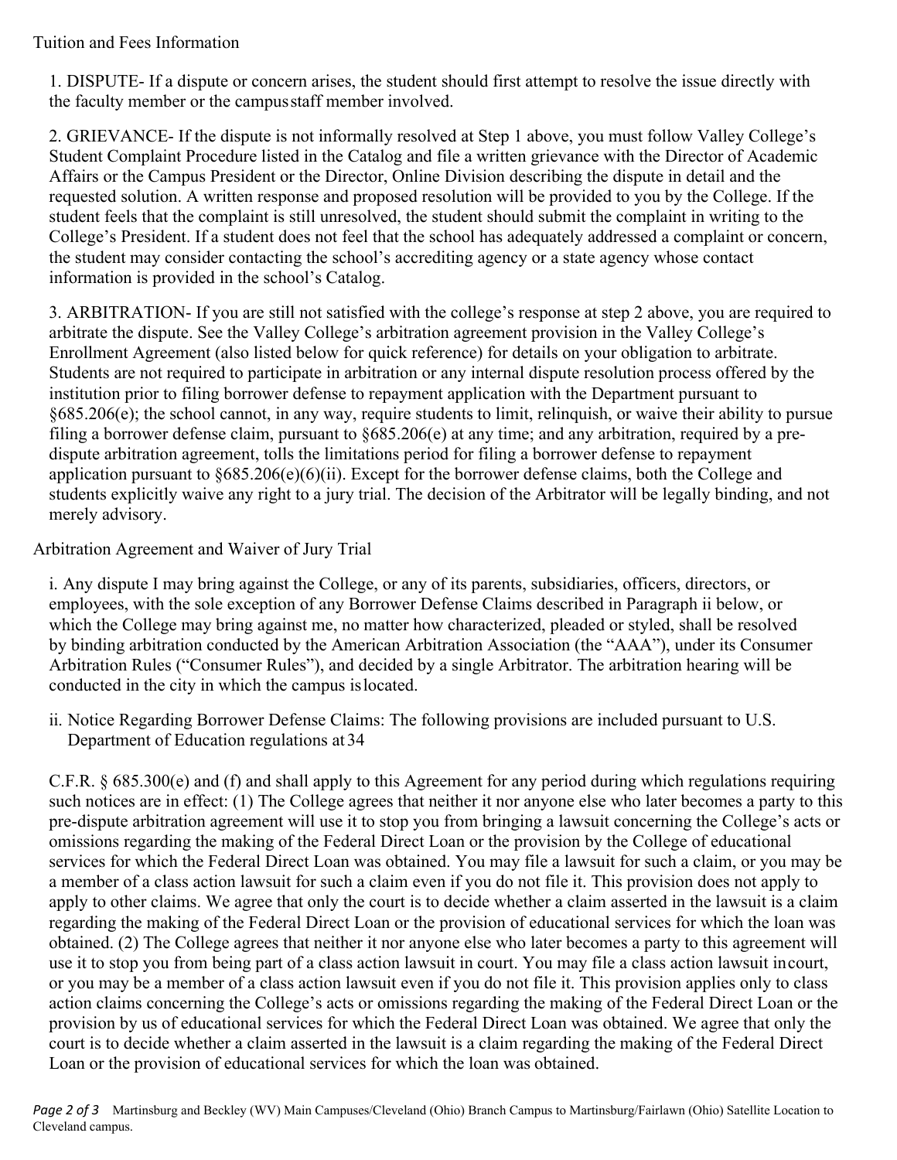### Tuition and Fees Information

1. DISPUTE- If a dispute or concern arises, the student should first attempt to resolve the issue directly with the faculty member or the campus staff member involved.

2. GRIEVANCE- If the dispute is not informally resolved at Step 1 above, you must follow Valley College's Student Complaint Procedure listed in the Catalog and file a written grievance with the Director of Academic Affairs or the Campus President or the Director, Online Division describing the dispute in detail and the requested solution. A written response and proposed resolution will be provided to you by the College. If the student feels that the complaint is still unresolved, the student should submit the complaint in writing to the College's President. If a student does not feel that the school has adequately addressed a complaint or concern, the student may consider contacting the school's accrediting agency or a state agency whose contact information is provided in the school's Catalog.

3. ARBITRATION- If you are still not satisfied with the college's response at step 2 above, you are required to arbitrate the dispute. See the Valley College's arbitration agreement provision in the Valley College's Enrollment Agreement (also listed below for quick reference) for details on your obligation to arbitrate. Students are not required to participate in arbitration or any internal dispute resolution process offered by the institution prior to filing borrower defense to repayment application with the Department pursuant to §685.206(e); the school cannot, in any way, require students to limit, relinquish, or waive their ability to pursue filing a borrower defense claim, pursuant to §685.206(e) at any time; and any arbitration, required by a predispute arbitration agreement, tolls the limitations period for filing a borrower defense to repayment application pursuant to §685.206(e)(6)(ii). Except for the borrower defense claims, both the College and students explicitly waive any right to a jury trial. The decision of the Arbitrator will be legally binding, and not merely advisory.

## Arbitration Agreement and Waiver of Jury Trial

i. Any dispute I may bring against the College, or any of its parents, subsidiaries, officers, directors, or employees, with the sole exception of any Borrower Defense Claims described in Paragraph ii below, or which the College may bring against me, no matter how characterized, pleaded or styled, shall be resolved by binding arbitration conducted by the American Arbitration Association (the "AAA"), under its Consumer Arbitration Rules ("Consumer Rules"), and decided by a single Arbitrator. The arbitration hearing will be conducted in the city in which the campus is located.

ii. Notice Regarding Borrower Defense Claims: The following provisions are included pursuant to U.S. Department of Education regulations at 34

C.F.R. § 685.300(e) and (f) and shall apply to this Agreement for any period during which regulations requiring such notices are in effect: (1) The College agrees that neither it nor anyone else who later becomes a party to this pre-dispute arbitration agreement will use it to stop you from bringing a lawsuit concerning the College's acts or omissions regarding the making of the Federal Direct Loan or the provision by the College of educational services for which the Federal Direct Loan was obtained. You may file a lawsuit for such a claim, or you may be a member of a class action lawsuit for such a claim even if you do not file it. This provision does not apply to apply to other claims. We agree that only the court is to decide whether a claim asserted in the lawsuit is a claim regarding the making of the Federal Direct Loan or the provision of educational services for which the loan was obtained. (2) The College agrees that neither it nor anyone else who later becomes a party to this agreement will use it to stop you from being part of a class action lawsuit in court. You may file a class action lawsuit in court, or you may be a member of a class action lawsuit even if you do not file it. This provision applies only to class action claims concerning the College's acts or omissions regarding the making of the Federal Direct Loan or the provision by us of educational services for which the Federal Direct Loan was obtained. We agree that only the court is to decide whether a claim asserted in the lawsuit is a claim regarding the making of the Federal Direct Loan or the provision of educational services for which the loan was obtained.